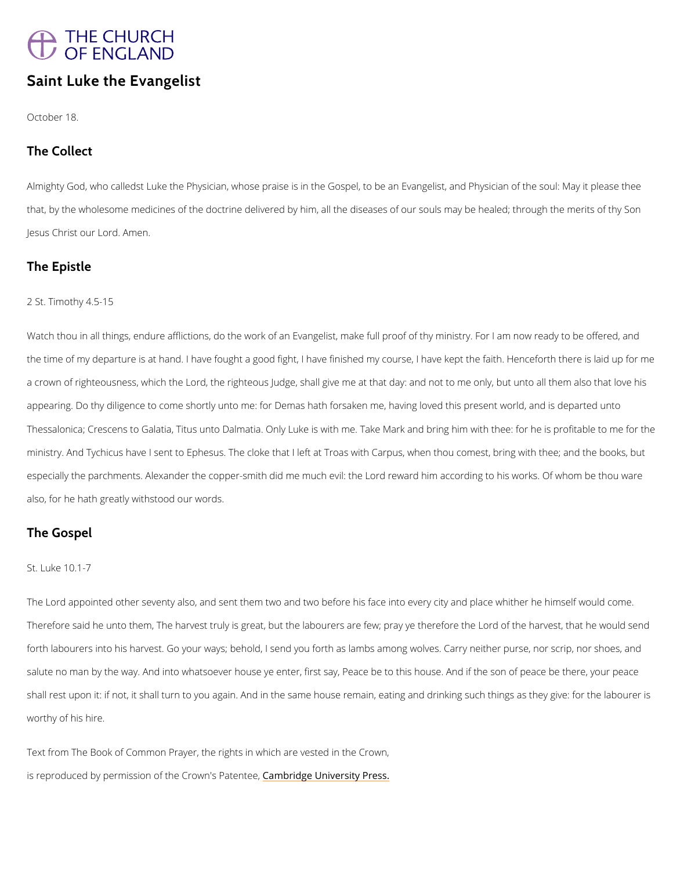# THE CHURCH<br>OF ENGLAND

### Saint Luke the Evangelist

October 18.

The Collect

AlmighGyod, who calledst Luke the Physician, whose praise is in the Gospel, to be an Evangel that, by the wholesome medicines of the doctrine delivered by him, all the diseases of our so Jesus Christ oAumelmo.rd.

#### The Epistle

2 St. Timothy 4.5-15

Watchhou in all things, endure afflictions, do the work of an Evangelist, make full proof of th the time of my departure is at hand. I have fought a good fight, I have finished my course, I a crown of righteousness, which the Lord, the righteous Judge, shall give me at that day: an appearing. Do thy diligence to come shortly unto me: for Demas hath forsaken me, having lov Thessalonica; Crescens to Galatia, Titus unto Dalmatia. Only Luke is with me. Take Mark and ministry. And Tychicus have I sent to Ephesus. The cloke that I left at Troas with Carpus, wh especially the parchments. Alexander the copper-smith did me much evil: the Lord reward hir also, for he hath greatly withstood our words.

shall rest upon it: if not, it shall turn to you again. And in the same house remain, eating an worthy of his hire.

The Gospel

St. Luke 10.1-7

The Lord appointed other seventy also, and sent them two and two before his face into every discrete whither and place whither and place into every Therefore said he unto them, The harvest truly is great, but the labourers are few; pray ye tl

forth labourers into his harvest. Go your ways; behold, I send you forth as lambs among wolv

salute no man by the way. And into whatsoever house ye enter, first say, Peace be to this ho

Text from The Book of Common Prayer, the rights in which are vested in the Crown,

is reproduced by permission of the  $C$   $\mathcal{E}$  m dow indee P behaviore  $\mathcal{E}$  at  $\mathcal{E}$  Press.